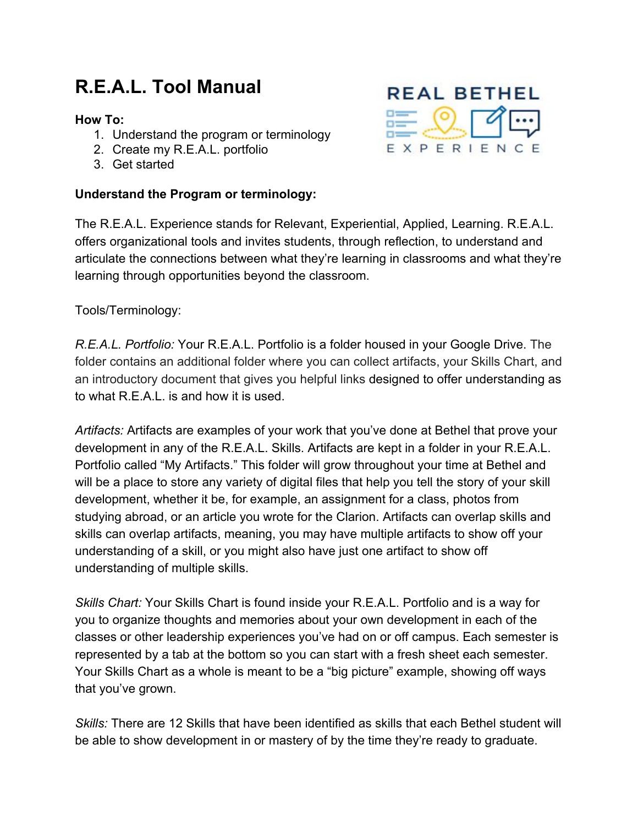# **R.E.A.L. Tool Manual**

#### **How To:**

- 1. Understand the program or terminology
- 2. Create my R.E.A.L. portfolio
- 3. Get started

## **Understand the Program or terminology:**



The R.E.A.L. Experience stands for Relevant, Experiential, Applied, Learning. R.E.A.L. offers organizational tools and invites students, through reflection, to understand and articulate the connections between what they're learning in classrooms and what they're learning through opportunities beyond the classroom.

Tools/Terminology:

*R.E.A.L. Portfolio:* Your R.E.A.L. Portfolio is a folder housed in your Google Drive. The folder contains an additional folder where you can collect artifacts, your Skills Chart, and an introductory document that gives you helpful links designed to offer understanding as to what R.E.A.L. is and how it is used.

*Artifacts:* Artifacts are examples of your work that you've done at Bethel that prove your development in any of the R.E.A.L. Skills. Artifacts are kept in a folder in your R.E.A.L. Portfolio called "My Artifacts." This folder will grow throughout your time at Bethel and will be a place to store any variety of digital files that help you tell the story of your skill development, whether it be, for example, an assignment for a class, photos from studying abroad, or an article you wrote for the Clarion. Artifacts can overlap skills and skills can overlap artifacts, meaning, you may have multiple artifacts to show off your understanding of a skill, or you might also have just one artifact to show off understanding of multiple skills.

*Skills Chart:* Your Skills Chart is found inside your R.E.A.L. Portfolio and is a way for you to organize thoughts and memories about your own development in each of the classes or other leadership experiences you've had on or off campus. Each semester is represented by a tab at the bottom so you can start with a fresh sheet each semester. Your Skills Chart as a whole is meant to be a "big picture" example, showing off ways that you've grown.

*Skills:* There are 12 Skills that have been identified as skills that each Bethel student will be able to show development in or mastery of by the time they're ready to graduate.